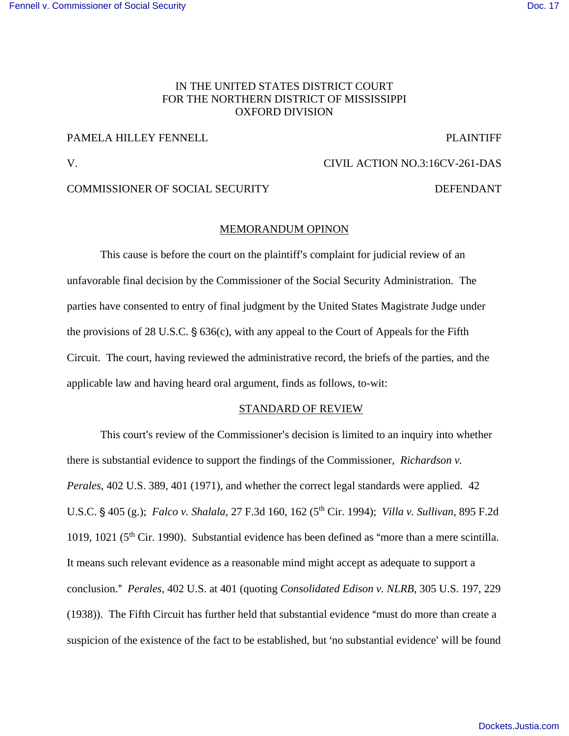### [Fennell v. Commissioner of Social Security](https://dockets.justia.com/docket/mississippi/msndce/3:2016cv00261/38941/) **[Doc. 17](https://docs.justia.com/cases/federal/district-courts/mississippi/msndce/3:2016cv00261/38941/17/)** November 2012 12:30 November 2012 12:30 November 2013 12:30

# IN THE UNITED STATES DISTRICT COURT FOR THE NORTHERN DISTRICT OF MISSISSIPPI OXFORD DIVISION

# PAMELA HILLEY FENNELL **PLAINTIFF**

# V. CIVIL ACTION NO.3:16CV-261-DAS

# COMMISSIONER OF SOCIAL SECURITY DEFENDANT

#### MEMORANDUM OPINON

This cause is before the court on the plaintiff's complaint for judicial review of an unfavorable final decision by the Commissioner of the Social Security Administration. The parties have consented to entry of final judgment by the United States Magistrate Judge under the provisions of 28 U.S.C.  $\S$  636(c), with any appeal to the Court of Appeals for the Fifth Circuit. The court, having reviewed the administrative record, the briefs of the parties, and the applicable law and having heard oral argument, finds as follows, to-wit:

## STANDARD OF REVIEW

This court's review of the Commissioner's decision is limited to an inquiry into whether there is substantial evidence to support the findings of the Commissioner, *Richardson v. Perales*, 402 U.S. 389, 401 (1971), and whether the correct legal standards were applied. 42 U.S.C. ' 405 (g.); *Falco v. Shalala*, 27 F.3d 160, 162 (5th Cir. 1994); *Villa v. Sullivan*, 895 F.2d 1019, 1021 ( $5<sup>th</sup>$  Cir. 1990). Substantial evidence has been defined as "more than a mere scintilla. It means such relevant evidence as a reasonable mind might accept as adequate to support a conclusion.@ *Perales*, 402 U.S. at 401 (quoting *Consolidated Edison v. NLRB*, 305 U.S. 197, 229  $(1938)$ ). The Fifth Circuit has further held that substantial evidence "must do more than create a suspicion of the existence of the fact to be established, but 'no substantial evidence' will be found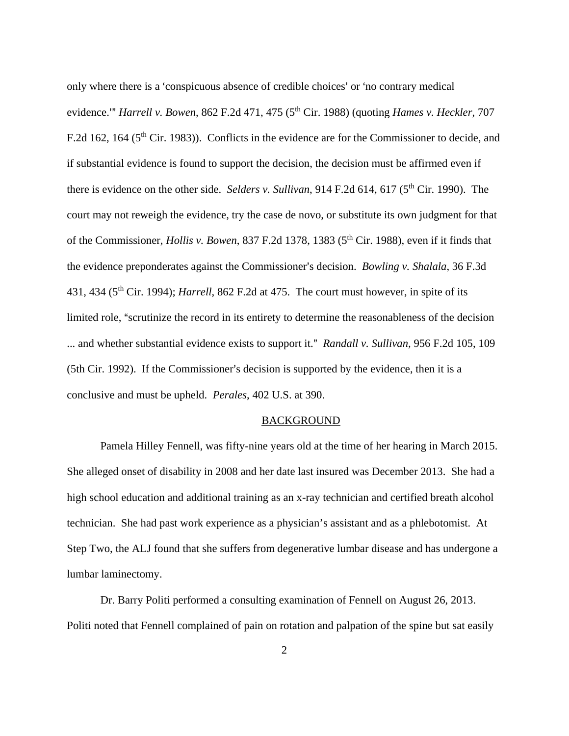only where there is a 'conspicuous absence of credible choices' or 'no contrary medical evidence." *Harrell v. Bowen*, 862 F.2d 471, 475 (5<sup>th</sup> Cir. 1988) (quoting *Hames v. Heckler*, 707 F.2d 162, 164 ( $5<sup>th</sup>$  Cir. 1983)). Conflicts in the evidence are for the Commissioner to decide, and if substantial evidence is found to support the decision, the decision must be affirmed even if there is evidence on the other side. *Selders v. Sullivan*, 914 F.2d 614, 617 (5<sup>th</sup> Cir. 1990). The court may not reweigh the evidence, try the case de novo, or substitute its own judgment for that of the Commissioner, *Hollis v. Bowen*, 837 F.2d 1378, 1383 (5<sup>th</sup> Cir. 1988), even if it finds that the evidence preponderates against the Commissioner's decision. *Bowling v. Shalala*, 36 F.3d 431, 434 (5th Cir. 1994); *Harrell*, 862 F.2d at 475. The court must however, in spite of its limited role, "scrutinize the record in its entirety to determine the reasonableness of the decision ... and whether substantial evidence exists to support it." *Randall v. Sullivan*, 956 F.2d 105, 109  $(5th Cir. 1992)$ . If the Commissioner's decision is supported by the evidence, then it is a conclusive and must be upheld. *Perales*, 402 U.S. at 390.

#### **BACKGROUND**

Pamela Hilley Fennell, was fifty-nine years old at the time of her hearing in March 2015. She alleged onset of disability in 2008 and her date last insured was December 2013. She had a high school education and additional training as an x-ray technician and certified breath alcohol technician. She had past work experience as a physician's assistant and as a phlebotomist. At Step Two, the ALJ found that she suffers from degenerative lumbar disease and has undergone a lumbar laminectomy.

Dr. Barry Politi performed a consulting examination of Fennell on August 26, 2013. Politi noted that Fennell complained of pain on rotation and palpation of the spine but sat easily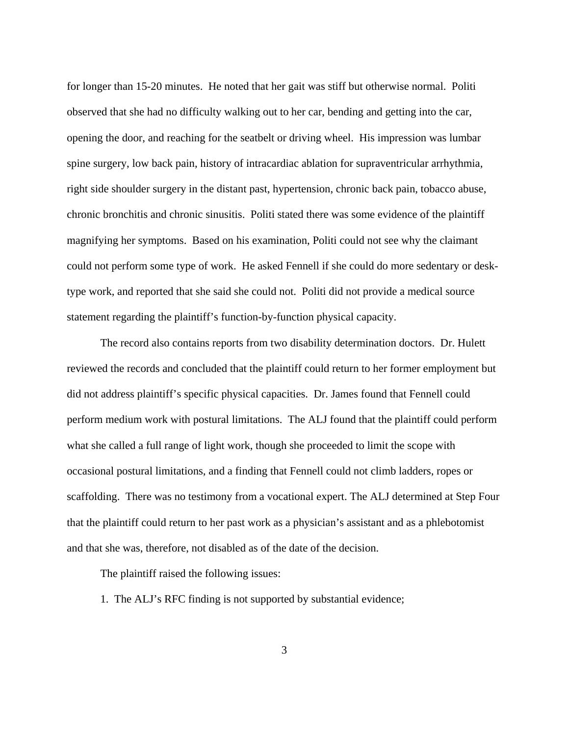for longer than 15-20 minutes. He noted that her gait was stiff but otherwise normal. Politi observed that she had no difficulty walking out to her car, bending and getting into the car, opening the door, and reaching for the seatbelt or driving wheel. His impression was lumbar spine surgery, low back pain, history of intracardiac ablation for supraventricular arrhythmia, right side shoulder surgery in the distant past, hypertension, chronic back pain, tobacco abuse, chronic bronchitis and chronic sinusitis. Politi stated there was some evidence of the plaintiff magnifying her symptoms. Based on his examination, Politi could not see why the claimant could not perform some type of work. He asked Fennell if she could do more sedentary or desktype work, and reported that she said she could not. Politi did not provide a medical source statement regarding the plaintiff's function-by-function physical capacity.

The record also contains reports from two disability determination doctors. Dr. Hulett reviewed the records and concluded that the plaintiff could return to her former employment but did not address plaintiff's specific physical capacities. Dr. James found that Fennell could perform medium work with postural limitations. The ALJ found that the plaintiff could perform what she called a full range of light work, though she proceeded to limit the scope with occasional postural limitations, and a finding that Fennell could not climb ladders, ropes or scaffolding. There was no testimony from a vocational expert. The ALJ determined at Step Four that the plaintiff could return to her past work as a physician's assistant and as a phlebotomist and that she was, therefore, not disabled as of the date of the decision.

The plaintiff raised the following issues:

1. The ALJ's RFC finding is not supported by substantial evidence;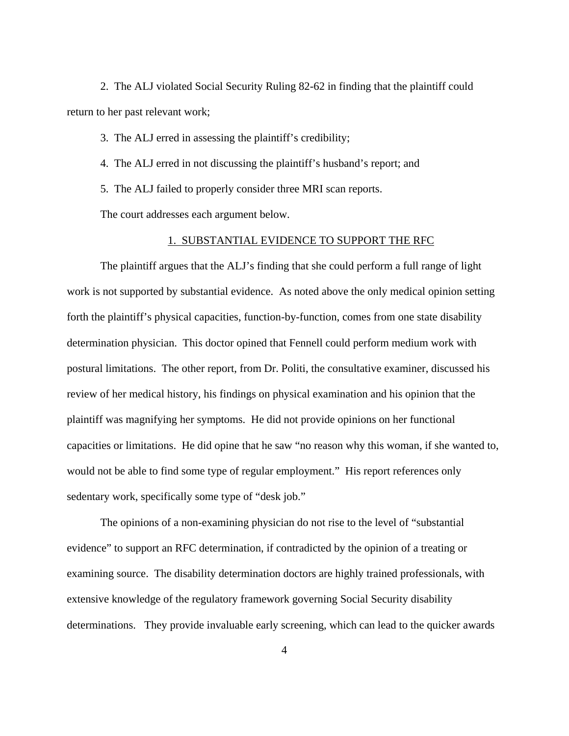2. The ALJ violated Social Security Ruling 82-62 in finding that the plaintiff could return to her past relevant work;

3. The ALJ erred in assessing the plaintiff's credibility;

4. The ALJ erred in not discussing the plaintiff's husband's report; and

5. The ALJ failed to properly consider three MRI scan reports.

The court addresses each argument below.

### 1. SUBSTANTIAL EVIDENCE TO SUPPORT THE RFC

The plaintiff argues that the ALJ's finding that she could perform a full range of light work is not supported by substantial evidence. As noted above the only medical opinion setting forth the plaintiff's physical capacities, function-by-function, comes from one state disability determination physician. This doctor opined that Fennell could perform medium work with postural limitations. The other report, from Dr. Politi, the consultative examiner, discussed his review of her medical history, his findings on physical examination and his opinion that the plaintiff was magnifying her symptoms. He did not provide opinions on her functional capacities or limitations. He did opine that he saw "no reason why this woman, if she wanted to, would not be able to find some type of regular employment." His report references only sedentary work, specifically some type of "desk job."

The opinions of a non-examining physician do not rise to the level of "substantial evidence" to support an RFC determination, if contradicted by the opinion of a treating or examining source. The disability determination doctors are highly trained professionals, with extensive knowledge of the regulatory framework governing Social Security disability determinations. They provide invaluable early screening, which can lead to the quicker awards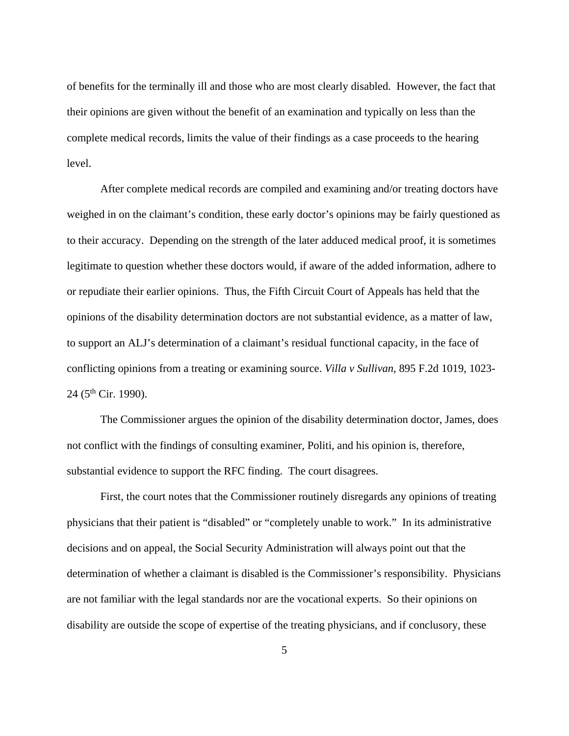of benefits for the terminally ill and those who are most clearly disabled. However, the fact that their opinions are given without the benefit of an examination and typically on less than the complete medical records, limits the value of their findings as a case proceeds to the hearing level.

After complete medical records are compiled and examining and/or treating doctors have weighed in on the claimant's condition, these early doctor's opinions may be fairly questioned as to their accuracy. Depending on the strength of the later adduced medical proof, it is sometimes legitimate to question whether these doctors would, if aware of the added information, adhere to or repudiate their earlier opinions. Thus, the Fifth Circuit Court of Appeals has held that the opinions of the disability determination doctors are not substantial evidence, as a matter of law, to support an ALJ's determination of a claimant's residual functional capacity, in the face of conflicting opinions from a treating or examining source. *Villa v Sullivan*, 895 F.2d 1019, 1023-  $24$  (5<sup>th</sup> Cir. 1990).

The Commissioner argues the opinion of the disability determination doctor, James, does not conflict with the findings of consulting examiner, Politi, and his opinion is, therefore, substantial evidence to support the RFC finding. The court disagrees.

First, the court notes that the Commissioner routinely disregards any opinions of treating physicians that their patient is "disabled" or "completely unable to work." In its administrative decisions and on appeal, the Social Security Administration will always point out that the determination of whether a claimant is disabled is the Commissioner's responsibility. Physicians are not familiar with the legal standards nor are the vocational experts. So their opinions on disability are outside the scope of expertise of the treating physicians, and if conclusory, these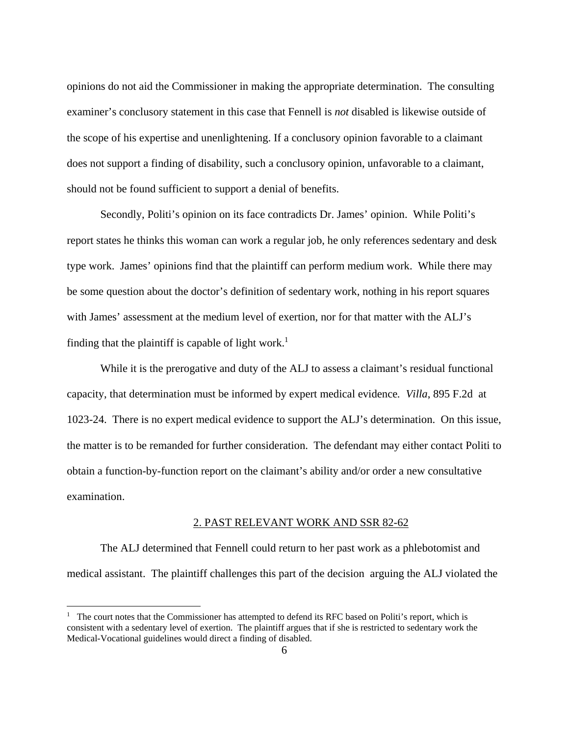opinions do not aid the Commissioner in making the appropriate determination. The consulting examiner's conclusory statement in this case that Fennell is *not* disabled is likewise outside of the scope of his expertise and unenlightening. If a conclusory opinion favorable to a claimant does not support a finding of disability, such a conclusory opinion, unfavorable to a claimant, should not be found sufficient to support a denial of benefits.

Secondly, Politi's opinion on its face contradicts Dr. James' opinion. While Politi's report states he thinks this woman can work a regular job, he only references sedentary and desk type work. James' opinions find that the plaintiff can perform medium work. While there may be some question about the doctor's definition of sedentary work, nothing in his report squares with James' assessment at the medium level of exertion, nor for that matter with the ALJ's finding that the plaintiff is capable of light work.<sup>1</sup>

While it is the prerogative and duty of the ALJ to assess a claimant's residual functional capacity, that determination must be informed by expert medical evidence*. Villa*, 895 F.2d at 1023-24. There is no expert medical evidence to support the ALJ's determination. On this issue, the matter is to be remanded for further consideration. The defendant may either contact Politi to obtain a function-by-function report on the claimant's ability and/or order a new consultative examination.

#### 2. PAST RELEVANT WORK AND SSR 82-62

The ALJ determined that Fennell could return to her past work as a phlebotomist and medical assistant. The plaintiff challenges this part of the decision arguing the ALJ violated the

 $\overline{a}$ 

<sup>&</sup>lt;sup>1</sup> The court notes that the Commissioner has attempted to defend its RFC based on Politi's report, which is consistent with a sedentary level of exertion. The plaintiff argues that if she is restricted to sedentary work the Medical-Vocational guidelines would direct a finding of disabled.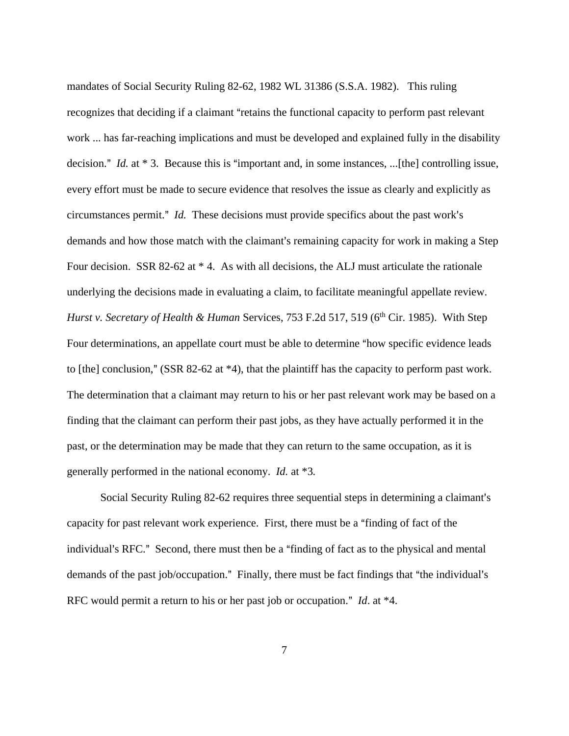mandates of Social Security Ruling 82-62, 1982 WL 31386 (S.S.A. 1982). This ruling recognizes that deciding if a claimant "retains the functional capacity to perform past relevant work ... has far-reaching implications and must be developed and explained fully in the disability decision." *Id.* at  $*$  3. Because this is "important and, in some instances, ...[the] controlling issue, every effort must be made to secure evidence that resolves the issue as clearly and explicitly as circumstances permit." *Id.* These decisions must provide specifics about the past work's demands and how those match with the claimant's remaining capacity for work in making a Step Four decision. SSR 82-62 at  $*$  4. As with all decisions, the ALJ must articulate the rationale underlying the decisions made in evaluating a claim, to facilitate meaningful appellate review. *Hurst v. Secretary of Health & Human Services, 753 F.2d 517, 519 (6<sup>th</sup> Cir. 1985). With Step* Four determinations, an appellate court must be able to determine "how specific evidence leads to [the] conclusion," (SSR 82-62 at  $*4$ ), that the plaintiff has the capacity to perform past work. The determination that a claimant may return to his or her past relevant work may be based on a finding that the claimant can perform their past jobs, as they have actually performed it in the past, or the determination may be made that they can return to the same occupation, as it is generally performed in the national economy. *Id.* at \*3*.* 

Social Security Ruling 82-62 requires three sequential steps in determining a claimant's capacity for past relevant work experience. First, there must be a "finding of fact of the individual's RFC." Second, there must then be a "finding of fact as to the physical and mental demands of the past job/occupation." Finally, there must be fact findings that "the individual's RFC would permit a return to his or her past job or occupation." *Id.* at \*4.

7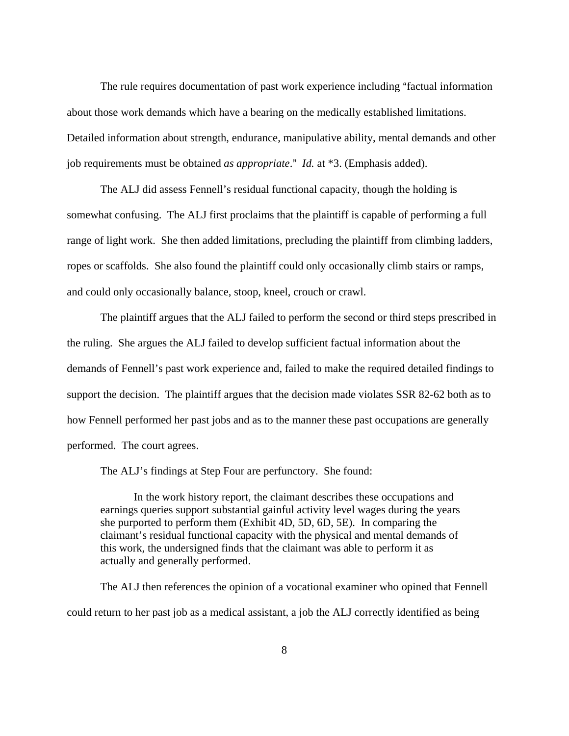The rule requires documentation of past work experience including "factual information about those work demands which have a bearing on the medically established limitations. Detailed information about strength, endurance, manipulative ability, mental demands and other job requirements must be obtained *as appropriate*." *Id.* at \*3. (Emphasis added).

The ALJ did assess Fennell's residual functional capacity, though the holding is somewhat confusing. The ALJ first proclaims that the plaintiff is capable of performing a full range of light work. She then added limitations, precluding the plaintiff from climbing ladders, ropes or scaffolds. She also found the plaintiff could only occasionally climb stairs or ramps, and could only occasionally balance, stoop, kneel, crouch or crawl.

The plaintiff argues that the ALJ failed to perform the second or third steps prescribed in the ruling. She argues the ALJ failed to develop sufficient factual information about the demands of Fennell's past work experience and, failed to make the required detailed findings to support the decision. The plaintiff argues that the decision made violates SSR 82-62 both as to how Fennell performed her past jobs and as to the manner these past occupations are generally performed. The court agrees.

The ALJ's findings at Step Four are perfunctory. She found:

In the work history report, the claimant describes these occupations and earnings queries support substantial gainful activity level wages during the years she purported to perform them (Exhibit 4D, 5D, 6D, 5E). In comparing the claimant's residual functional capacity with the physical and mental demands of this work, the undersigned finds that the claimant was able to perform it as actually and generally performed.

The ALJ then references the opinion of a vocational examiner who opined that Fennell could return to her past job as a medical assistant, a job the ALJ correctly identified as being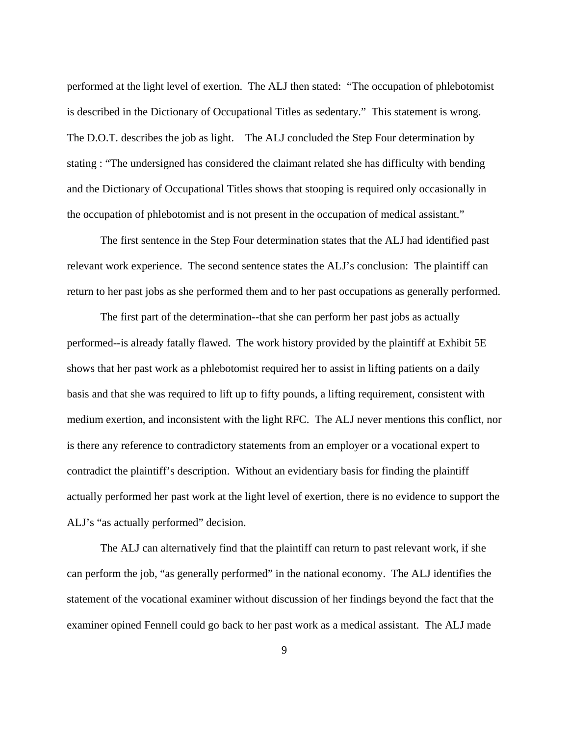performed at the light level of exertion. The ALJ then stated: "The occupation of phlebotomist is described in the Dictionary of Occupational Titles as sedentary." This statement is wrong. The D.O.T. describes the job as light. The ALJ concluded the Step Four determination by stating : "The undersigned has considered the claimant related she has difficulty with bending and the Dictionary of Occupational Titles shows that stooping is required only occasionally in the occupation of phlebotomist and is not present in the occupation of medical assistant."

The first sentence in the Step Four determination states that the ALJ had identified past relevant work experience. The second sentence states the ALJ's conclusion: The plaintiff can return to her past jobs as she performed them and to her past occupations as generally performed.

The first part of the determination--that she can perform her past jobs as actually performed--is already fatally flawed. The work history provided by the plaintiff at Exhibit 5E shows that her past work as a phlebotomist required her to assist in lifting patients on a daily basis and that she was required to lift up to fifty pounds, a lifting requirement, consistent with medium exertion, and inconsistent with the light RFC. The ALJ never mentions this conflict, nor is there any reference to contradictory statements from an employer or a vocational expert to contradict the plaintiff's description. Without an evidentiary basis for finding the plaintiff actually performed her past work at the light level of exertion, there is no evidence to support the ALJ's "as actually performed" decision.

The ALJ can alternatively find that the plaintiff can return to past relevant work, if she can perform the job, "as generally performed" in the national economy. The ALJ identifies the statement of the vocational examiner without discussion of her findings beyond the fact that the examiner opined Fennell could go back to her past work as a medical assistant. The ALJ made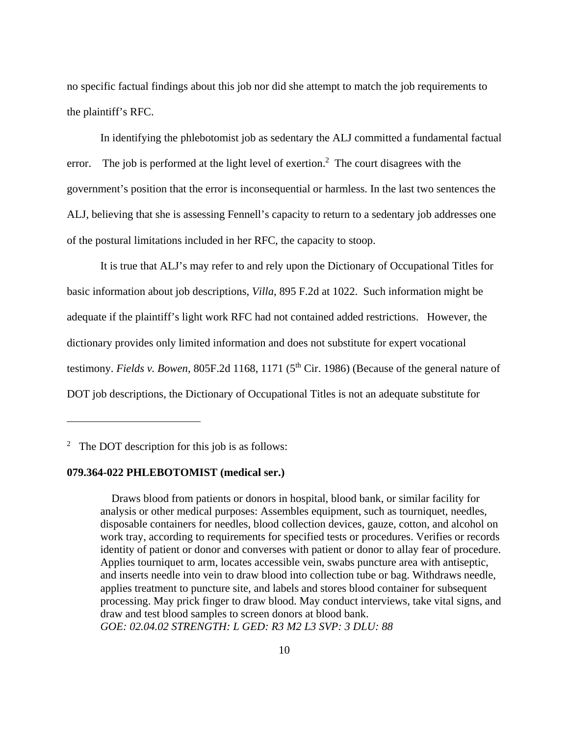no specific factual findings about this job nor did she attempt to match the job requirements to the plaintiff's RFC.

In identifying the phlebotomist job as sedentary the ALJ committed a fundamental factual error. The job is performed at the light level of exertion.<sup>2</sup> The court disagrees with the government's position that the error is inconsequential or harmless. In the last two sentences the ALJ, believing that she is assessing Fennell's capacity to return to a sedentary job addresses one of the postural limitations included in her RFC, the capacity to stoop.

It is true that ALJ's may refer to and rely upon the Dictionary of Occupational Titles for basic information about job descriptions, *Villa*, 895 F.2d at 1022. Such information might be adequate if the plaintiff's light work RFC had not contained added restrictions. However, the dictionary provides only limited information and does not substitute for expert vocational testimony. *Fields v. Bowen,* 805F.2d 1168, 1171 (5th Cir. 1986) (Because of the general nature of DOT job descriptions, the Dictionary of Occupational Titles is not an adequate substitute for

<u>.</u>

## **079.364-022 PHLEBOTOMIST (medical ser.)**

 Draws blood from patients or donors in hospital, blood bank, or similar facility for analysis or other medical purposes: Assembles equipment, such as tourniquet, needles, disposable containers for needles, blood collection devices, gauze, cotton, and alcohol on work tray, according to requirements for specified tests or procedures. Verifies or records identity of patient or donor and converses with patient or donor to allay fear of procedure. Applies tourniquet to arm, locates accessible vein, swabs puncture area with antiseptic, and inserts needle into vein to draw blood into collection tube or bag. Withdraws needle, applies treatment to puncture site, and labels and stores blood container for subsequent processing. May prick finger to draw blood. May conduct interviews, take vital signs, and draw and test blood samples to screen donors at blood bank. *GOE: 02.04.02 STRENGTH: L GED: R3 M2 L3 SVP: 3 DLU: 88*

<sup>&</sup>lt;sup>2</sup> The DOT description for this job is as follows: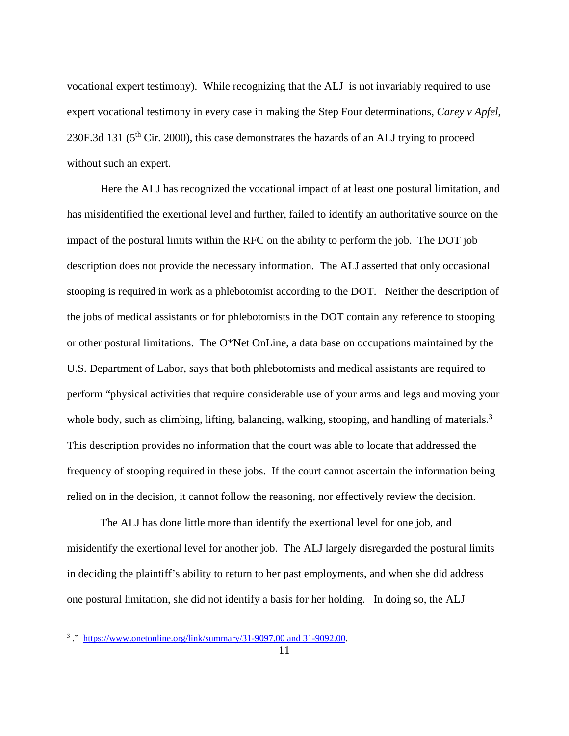vocational expert testimony). While recognizing that the ALJ is not invariably required to use expert vocational testimony in every case in making the Step Four determinations, *Carey v Apfel*, 230F.3d 131 ( $5<sup>th</sup>$  Cir. 2000), this case demonstrates the hazards of an ALJ trying to proceed without such an expert.

Here the ALJ has recognized the vocational impact of at least one postural limitation, and has misidentified the exertional level and further, failed to identify an authoritative source on the impact of the postural limits within the RFC on the ability to perform the job. The DOT job description does not provide the necessary information. The ALJ asserted that only occasional stooping is required in work as a phlebotomist according to the DOT. Neither the description of the jobs of medical assistants or for phlebotomists in the DOT contain any reference to stooping or other postural limitations. The O\*Net OnLine, a data base on occupations maintained by the U.S. Department of Labor, says that both phlebotomists and medical assistants are required to perform "physical activities that require considerable use of your arms and legs and moving your whole body, such as climbing, lifting, balancing, walking, stooping, and handling of materials.<sup>3</sup> This description provides no information that the court was able to locate that addressed the frequency of stooping required in these jobs. If the court cannot ascertain the information being relied on in the decision, it cannot follow the reasoning, nor effectively review the decision.

The ALJ has done little more than identify the exertional level for one job, and misidentify the exertional level for another job. The ALJ largely disregarded the postural limits in deciding the plaintiff's ability to return to her past employments, and when she did address one postural limitation, she did not identify a basis for her holding. In doing so, the ALJ

<sup>&</sup>lt;sup>3</sup> ." https://www.onetonline.org/link/summary/31-9097.00 and 31-9092.00.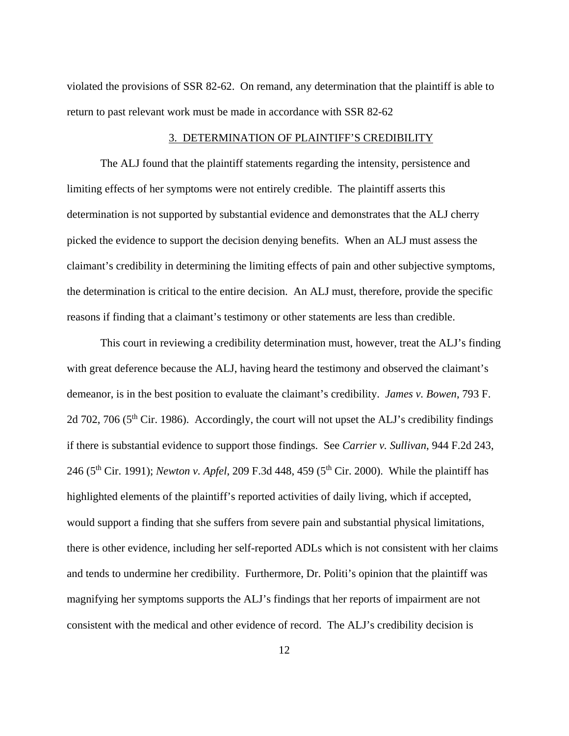violated the provisions of SSR 82-62. On remand, any determination that the plaintiff is able to return to past relevant work must be made in accordance with SSR 82-62

## 3. DETERMINATION OF PLAINTIFF'S CREDIBILITY

The ALJ found that the plaintiff statements regarding the intensity, persistence and limiting effects of her symptoms were not entirely credible. The plaintiff asserts this determination is not supported by substantial evidence and demonstrates that the ALJ cherry picked the evidence to support the decision denying benefits. When an ALJ must assess the claimant's credibility in determining the limiting effects of pain and other subjective symptoms, the determination is critical to the entire decision. An ALJ must, therefore, provide the specific reasons if finding that a claimant's testimony or other statements are less than credible.

This court in reviewing a credibility determination must, however, treat the ALJ's finding with great deference because the ALJ, having heard the testimony and observed the claimant's demeanor, is in the best position to evaluate the claimant's credibility. *James v. Bowen*, 793 F. 2d 702, 706 ( $5<sup>th</sup>$  Cir. 1986). Accordingly, the court will not upset the ALJ's credibility findings if there is substantial evidence to support those findings. See *Carrier v. Sullivan*, 944 F.2d 243, 246 (5<sup>th</sup> Cir. 1991); *Newton v. Apfel*, 209 F.3d 448, 459 (5<sup>th</sup> Cir. 2000). While the plaintiff has highlighted elements of the plaintiff's reported activities of daily living, which if accepted, would support a finding that she suffers from severe pain and substantial physical limitations, there is other evidence, including her self-reported ADLs which is not consistent with her claims and tends to undermine her credibility. Furthermore, Dr. Politi's opinion that the plaintiff was magnifying her symptoms supports the ALJ's findings that her reports of impairment are not consistent with the medical and other evidence of record. The ALJ's credibility decision is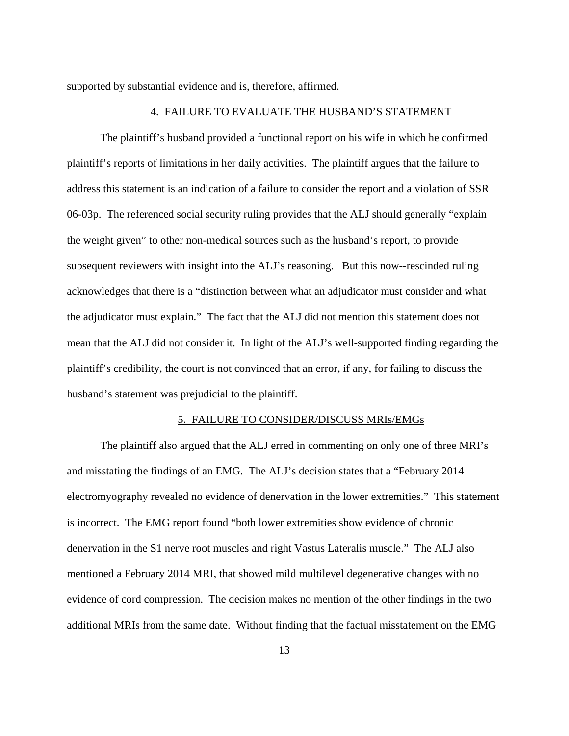supported by substantial evidence and is, therefore, affirmed.

#### 4. FAILURE TO EVALUATE THE HUSBAND'S STATEMENT

The plaintiff's husband provided a functional report on his wife in which he confirmed plaintiff's reports of limitations in her daily activities. The plaintiff argues that the failure to address this statement is an indication of a failure to consider the report and a violation of SSR 06-03p. The referenced social security ruling provides that the ALJ should generally "explain the weight given" to other non-medical sources such as the husband's report, to provide subsequent reviewers with insight into the ALJ's reasoning. But this now--rescinded ruling acknowledges that there is a "distinction between what an adjudicator must consider and what the adjudicator must explain." The fact that the ALJ did not mention this statement does not mean that the ALJ did not consider it. In light of the ALJ's well-supported finding regarding the plaintiff's credibility, the court is not convinced that an error, if any, for failing to discuss the husband's statement was prejudicial to the plaintiff.

#### 5. FAILURE TO CONSIDER/DISCUSS MRIs/EMGs

The plaintiff also argued that the ALJ erred in commenting on only one of three MRI's and misstating the findings of an EMG. The ALJ's decision states that a "February 2014 electromyography revealed no evidence of denervation in the lower extremities." This statement is incorrect. The EMG report found "both lower extremities show evidence of chronic denervation in the S1 nerve root muscles and right Vastus Lateralis muscle." The ALJ also mentioned a February 2014 MRI, that showed mild multilevel degenerative changes with no evidence of cord compression. The decision makes no mention of the other findings in the two additional MRIs from the same date. Without finding that the factual misstatement on the EMG